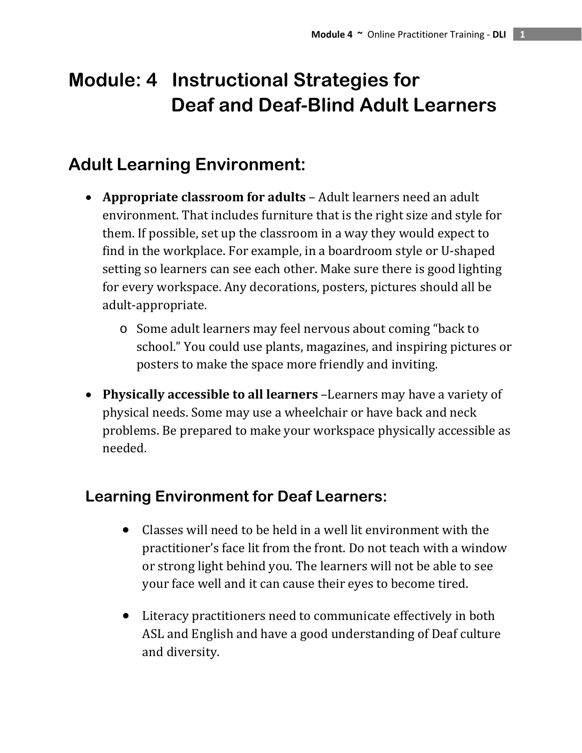# **Module: 4 Instructional Strategies for Deaf and Deaf-Blind Adult Learners**

## **Adult Learning Environment:**

- **Appropriate classroom for adults** Adult learners need an adult environment. That includes furniture that is the right size and style for them. If possible, set up the classroom in a way they would expect to find in the workplace. For example, in a boardroom style or U‐shaped setting so learners can see each other. Make sure there is good lighting for every workspace. Any decorations, posters, pictures should all be adult‐appropriate.
	- o Some adult learners may feel nervous about coming "back to school." You could use plants, magazines, and inspiring pictures or posters to make the space more friendly and inviting.
- **Physically accessible to all learners** –Learners may have a variety of physical needs. Some may use a wheelchair or have back and neck problems. Be prepared to make your workspace physically accessible as needed.

## **Learning Environment for Deaf Learners:**

- Classes will need to be held in a well lit environment with the practitioner's face lit from the front. Do not teach with a window or strong light behind you. The learners will not be able to see your face well and it can cause their eyes to become tired.
- Literacy practitioners need to communicate effectively in both ASL and English and have a good understanding of Deaf culture and diversity.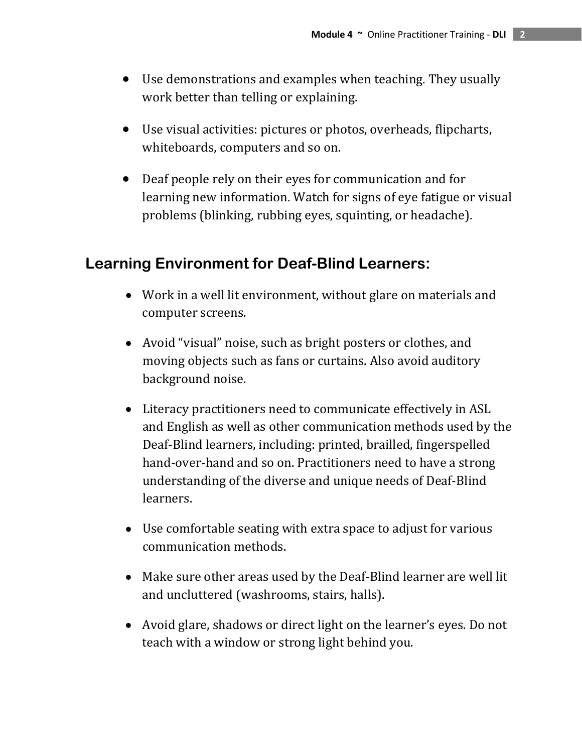- Use demonstrations and examples when teaching. They usually work better than telling or explaining.
- Use visual activities: pictures or photos, overheads, flipcharts, whiteboards, computers and so on.
- Deaf people rely on their eyes for communication and for learning new information. Watch for signs of eye fatigue or visual problems (blinking, rubbing eyes, squinting, or headache).

#### **Learning Environment for Deaf-Blind Learners:**

- Work in a well lit environment, without glare on materials and computer screens.
- Avoid "visual" noise, such as bright posters or clothes, and moving objects such as fans or curtains. Also avoid auditory background noise.
- Literacy practitioners need to communicate effectively in ASL and English as well as other communication methods used by the Deaf‐Blind learners, including: printed, brailled, fingerspelled hand-over-hand and so on. Practitioners need to have a strong understanding of the diverse and unique needs of Deaf‐Blind learners.
- Use comfortable seating with extra space to adjust for various communication methods.
- Make sure other areas used by the Deaf-Blind learner are well lit and uncluttered (washrooms, stairs, halls).
- Avoid glare, shadows or direct light on the learner's eyes. Do not teach with a window or strong light behind you.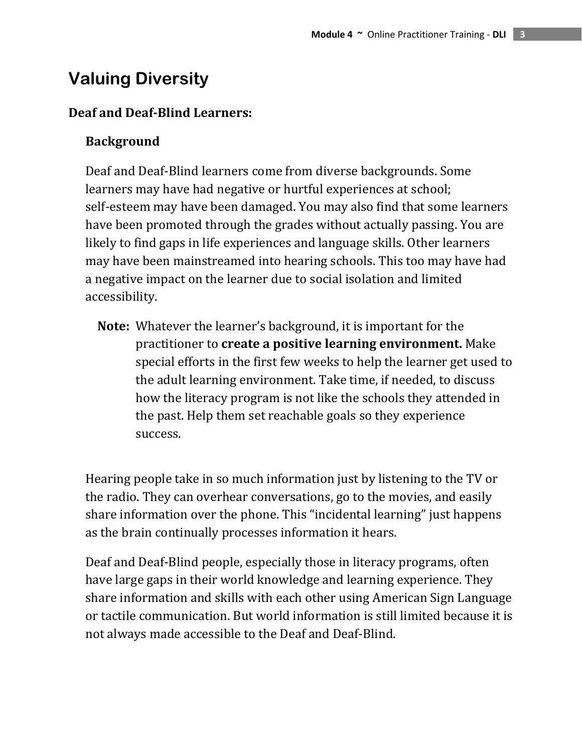## **Valuing Diversity**

#### **Deaf and DeafBlind Learners:**

#### **Background**

Deaf and Deaf‐Blind learners come from diverse backgrounds. Some learners may have had negative or hurtful experiences at school; self‐esteem may have been damaged. You may also find that some learners have been promoted through the grades without actually passing. You are likely to find gaps in life experiences and language skills. Other learners may have been mainstreamed into hearing schools. This too may have had a negative impact on the learner due to social isolation and limited accessibility.

 **Note:** Whatever the learner's background, it is important for the practitioner to **create a positive learning environment.** Make special efforts in the first few weeks to help the learner get used to the adult learning environment. Take time, if needed, to discuss how the literacy program is not like the schools they attended in the past. Help them set reachable goals so they experience success.

Hearing people take in so much information just by listening to the TV or the radio. They can overhear conversations, go to the movies, and easily share information over the phone. This "incidental learning" just happens as the brain continually processes information it hears.

Deaf and Deaf‐Blind people, especially those in literacy programs, often have large gaps in their world knowledge and learning experience. They share information and skills with each other using American Sign Language or tactile communication. But world information is still limited because it is not always made accessible to the Deaf and Deaf‐Blind.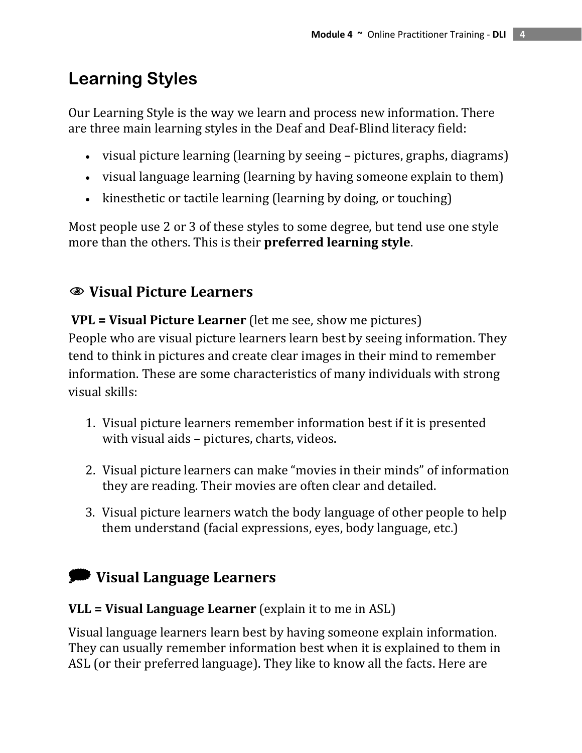## **Learning Styles**

Our Learning Style is the way we learn and process new information. There are three main learning styles in the Deaf and Deaf‐Blind literacy field:

- visual picture learning (learning by seeing pictures, graphs, diagrams)
- visual language learning (learning by having someone explain to them)
- kinesthetic or tactile learning (learning by doing, or touching)

Most people use 2 or 3 of these styles to some degree, but tend use one style more than the others. This is their **preferred learning style**.

### 1 **Visual Picture Learners**

**VPL = Visual Picture Learner** (let me see, show me pictures) People who are visual picture learners learn best by seeing information. They tend to think in pictures and create clear images in their mind to remember information. These are some characteristics of many individuals with strong visual skills:

- 1. Visual picture learners remember information best if it is presented with visual aids – pictures, charts, videos.
- 2. Visual picture learners can make "movies in their minds" of information they are reading. Their movies are often clear and detailed.
- 3. Visual picture learners watch the body language of other people to help them understand (facial expressions, eyes, body language, etc.)

## @ **Visual Language Learners**

#### **VLL = Visual Language Learner** (explain it to me in ASL)

Visual language learners learn best by having someone explain information. They can usually remember information best when it is explained to them in ASL (or their preferred language). They like to know all the facts. Here are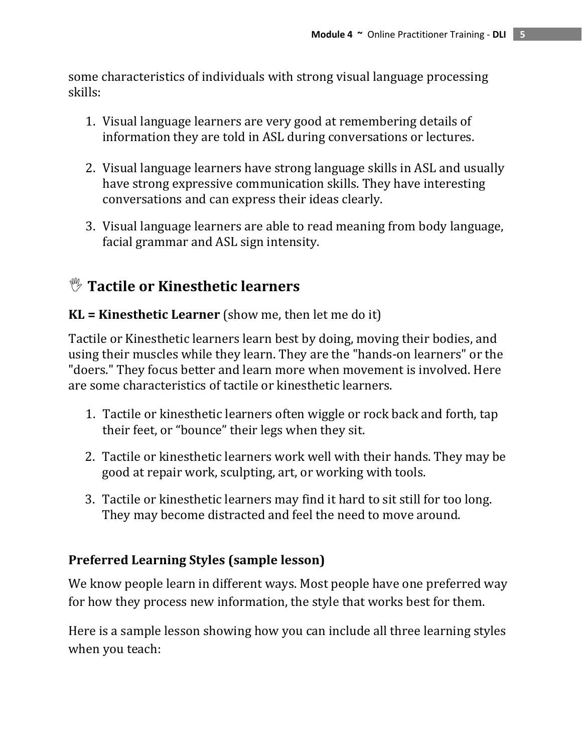some characteristics of individuals with strong visual language processing skills:

- 1. Visual language learners are very good at remembering details of information they are told in ASL during conversations or lectures.
- 2. Visual language learners have strong language skills in ASL and usually have strong expressive communication skills. They have interesting conversations and can express their ideas clearly.
- 3. Visual language learners are able to read meaning from body language, facial grammar and ASL sign intensity.

### , **Tactile or Kinesthetic learners**

#### **KL = Kinesthetic Learner** (show me, then let me do it)

Tactile or Kinesthetic learners learn best by doing, moving their bodies, and using their muscles while they learn. They are the "hands‐on learners" or the "doers." They focus better and learn more when movement is involved. Here are some characteristics of tactile or kinesthetic learners.

- 1. Tactile or kinesthetic learners often wiggle or rock back and forth, tap their feet, or "bounce" their legs when they sit.
- 2. Tactile or kinesthetic learners work well with their hands. They may be good at repair work, sculpting, art, or working with tools.
- 3. Tactile or kinesthetic learners may find it hard to sit still for too long. They may become distracted and feel the need to move around.

#### **Preferred Learning Styles (sample lesson)**

We know people learn in different ways. Most people have one preferred way for how they process new information, the style that works best for them.

Here is a sample lesson showing how you can include all three learning styles when you teach: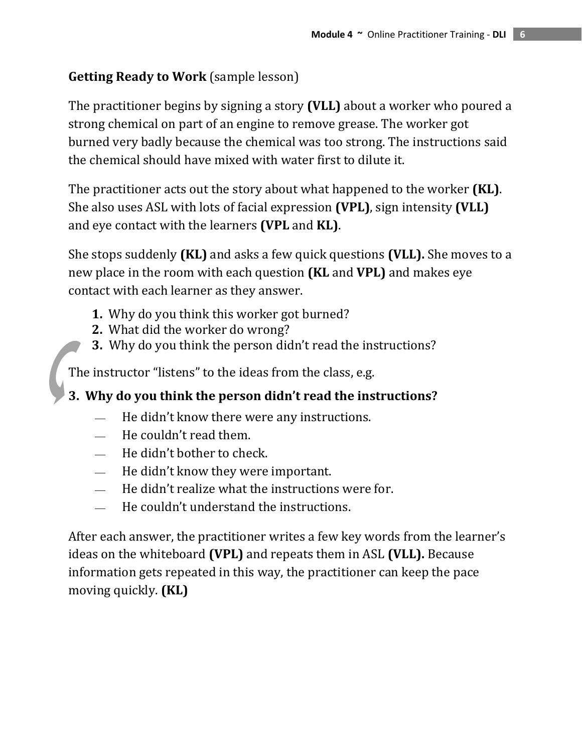#### **Getting Ready to Work** (sample lesson)

The practitioner begins by signing a story **(VLL)** about a worker who poured a strong chemical on part of an engine to remove grease. The worker got burned very badly because the chemical was too strong. The instructions said the chemical should have mixed with water first to dilute it.

The practitioner acts out the story about what happened to the worker **(KL)**. She also uses ASL with lots of facial expression **(VPL)**, sign intensity **(VLL)** and eye contact with the learners **(VPL** and **KL)**.

She stops suddenly **(KL)** and asks a few quick questions **(VLL).** She moves to a new place in the room with each question **(KL** and **VPL)** and makes eye contact with each learner as they answer.

- **1.** Why do you think this worker got burned?
- What did the worker do wrong? **2.**
- **3.** Why do you think the person didn't read the instructions?

The instructor "listens" to the ideas from the class, e.g.

**3. Why do you think the person didn't read the instructions?**

- $\equiv$  He didn't know there were any instructions.
- $-$  He couldn't read them.
- ⎯ He didn't bother to check.
- $\overline{\phantom{a}}$ He didn't know they were important.
- $\equiv$  He didn't realize what the instructions were for.
- $\equiv$  He couldn't understand the instructions.

After each answer, the practitioner writes a few key words from the learner's ideas on the whiteboard **(VPL)** and repeats them in ASL **(VLL).** Because information gets repeated in this way, the practitioner can keep the pace moving quickly. **(KL)**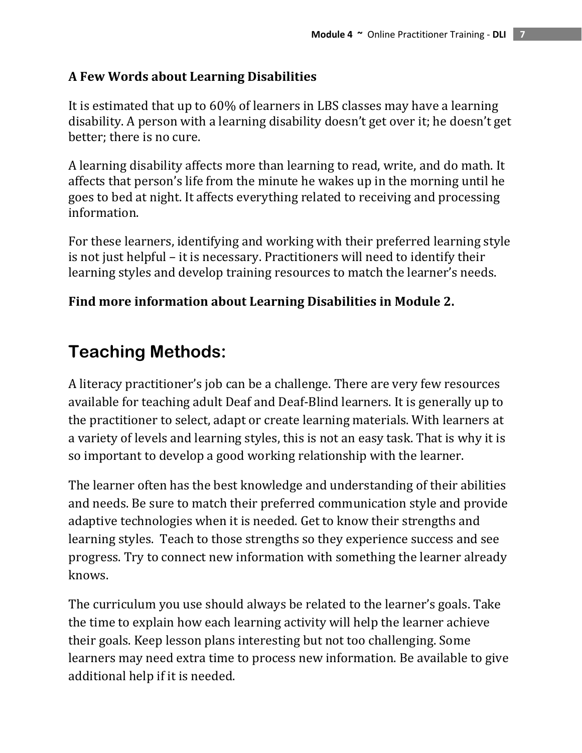#### **A Few Words about Learning Disabilities**

It is estimated that up to 60% of learners in LBS classes may have a learning disability. A person with a learning disability doesn't get over it; he doesn't get better; there is no cure.

A learning disability affects more than learning to read, write, and do math. It affects that person's life from the minute he wakes up in the morning until he goes to bed at night. It affects everything related to receiving and processing information.

For these learners, identifying and working with their preferred learning style is not just helpful – it is necessary. Practitioners will need to identify their learning styles and develop training resources to match the learner's needs.

#### **Find more information about Learning Disabilities in Module 2.**

## **Teaching Methods:**

A literacy practitioner's job can be a challenge. There are very few resources available for teaching adult Deaf and Deaf‐Blind learners. It is generally up to the practitioner to select, adapt or create learning materials. With learners at a variety of levels and learning styles, this is not an easy task. That is why it is so important to develop a good working relationship with the learner.

The learner often has the best knowledge and understanding of their abilities and needs. Be sure to match their preferred communication style and provide adaptive technologies when it is needed. Get to know their strengths and learning styles. Teach to those strengths so they experience success and see progress. Try to connect new information with something the learner already knows.

The curriculum you use should always be related to the learner's goals. Take the time to explain how each learning activity will help the learner achieve their goals. Keep lesson plans interesting but not too challenging. Some learners may need extra time to process new information. Be available to give additional help if it is needed.